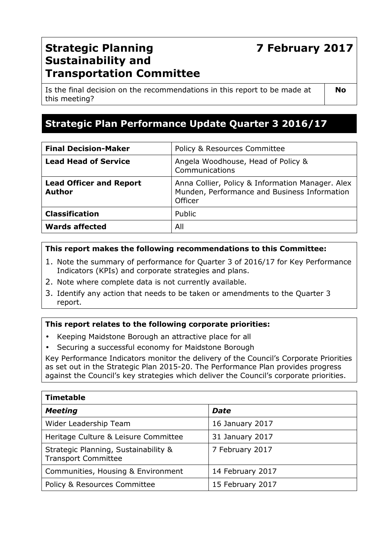# **7 February 2017**

## **Strategic Planning Sustainability and Transportation Committee**

Is the final decision on the recommendations in this report to be made at this meeting?

**No** 

## **Strategic Plan Performance Update Quarter 3 2016/17**

| <b>Final Decision-Maker</b>                     | Policy & Resources Committee                                                                                       |
|-------------------------------------------------|--------------------------------------------------------------------------------------------------------------------|
| <b>Lead Head of Service</b>                     | Angela Woodhouse, Head of Policy &<br>Communications                                                               |
| <b>Lead Officer and Report</b><br><b>Author</b> | Anna Collier, Policy & Information Manager. Alex<br>Munden, Performance and Business Information<br><b>Officer</b> |
| <b>Classification</b>                           | Public                                                                                                             |
| <b>Wards affected</b>                           | All                                                                                                                |

### **This report makes the following recommendations to this Committee:**

- 1. Note the summary of performance for Quarter 3 of 2016/17 for Key Performance Indicators (KPIs) and corporate strategies and plans.
- 2. Note where complete data is not currently available.
- 3. Identify any action that needs to be taken or amendments to the Quarter 3 report.

#### **This report relates to the following corporate priorities:**

- Keeping Maidstone Borough an attractive place for all
- Securing a successful economy for Maidstone Borough

Key Performance Indicators monitor the delivery of the Council's Corporate Priorities as set out in the Strategic Plan 2015-20. The Performance Plan provides progress against the Council's key strategies which deliver the Council's corporate priorities.

| <b>Timetable</b>                                                   |                  |  |  |
|--------------------------------------------------------------------|------------------|--|--|
| <b>Meeting</b>                                                     | <b>Date</b>      |  |  |
| Wider Leadership Team                                              | 16 January 2017  |  |  |
| Heritage Culture & Leisure Committee                               | 31 January 2017  |  |  |
| Strategic Planning, Sustainability &<br><b>Transport Committee</b> | 7 February 2017  |  |  |
| Communities, Housing & Environment                                 | 14 February 2017 |  |  |
| Policy & Resources Committee                                       | 15 February 2017 |  |  |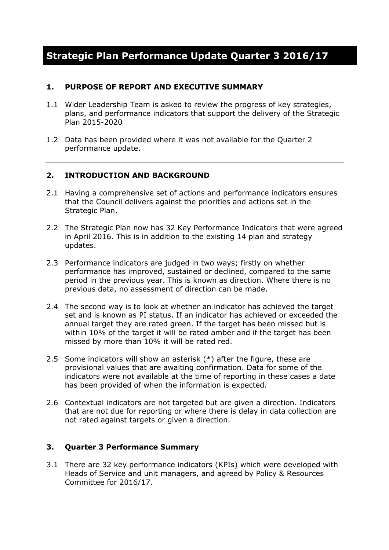## **Strategic Plan Performance Update Quarter 3 2016/17**

#### **1. PURPOSE OF REPORT AND EXECUTIVE SUMMARY**

- 1.1 Wider Leadership Team is asked to review the progress of key strategies, plans, and performance indicators that support the delivery of the Strategic Plan 2015-2020
- 1.2 Data has been provided where it was not available for the Quarter 2 performance update.

#### **2. INTRODUCTION AND BACKGROUND**

- 2.1 Having a comprehensive set of actions and performance indicators ensures that the Council delivers against the priorities and actions set in the Strategic Plan.
- 2.2 The Strategic Plan now has 32 Key Performance Indicators that were agreed in April 2016. This is in addition to the existing 14 plan and strategy updates.
- 2.3 Performance indicators are judged in two ways; firstly on whether performance has improved, sustained or declined, compared to the same period in the previous year. This is known as direction. Where there is no previous data, no assessment of direction can be made.
- 2.4 The second way is to look at whether an indicator has achieved the target set and is known as PI status. If an indicator has achieved or exceeded the annual target they are rated green. If the target has been missed but is within 10% of the target it will be rated amber and if the target has been missed by more than 10% it will be rated red.
- 2.5 Some indicators will show an asterisk (\*) after the figure, these are provisional values that are awaiting confirmation. Data for some of the indicators were not available at the time of reporting in these cases a date has been provided of when the information is expected.
- 2.6 Contextual indicators are not targeted but are given a direction. Indicators that are not due for reporting or where there is delay in data collection are not rated against targets or given a direction.

#### **3. Quarter 3 Performance Summary**

3.1 There are 32 key performance indicators (KPIs) which were developed with Heads of Service and unit managers, and agreed by Policy & Resources Committee for 2016/17.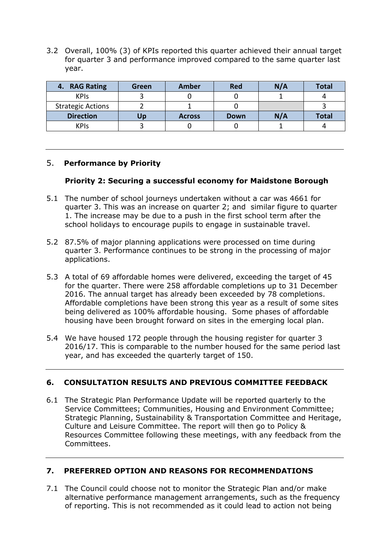3.2 Overall, 100% (3) of KPIs reported this quarter achieved their annual target for quarter 3 and performance improved compared to the same quarter last year.

| 4. RAG Rating            | Green | <b>Amber</b>  | Red  | N/A | Total        |
|--------------------------|-------|---------------|------|-----|--------------|
| <b>KPIs</b>              |       |               |      |     |              |
| <b>Strategic Actions</b> |       |               |      |     |              |
| <b>Direction</b>         | Up    | <b>Across</b> | Down | N/A | <b>Total</b> |
| <b>KPIS</b>              |       |               |      |     |              |

## 5. **Performance by Priority**

#### **Priority 2: Securing a successful economy for Maidstone Borough**

- 5.1 The number of school journeys undertaken without a car was 4661 for quarter 3. This was an increase on quarter 2; and similar figure to quarter 1. The increase may be due to a push in the first school term after the school holidays to encourage pupils to engage in sustainable travel.
- 5.2 87.5% of major planning applications were processed on time during quarter 3. Performance continues to be strong in the processing of major applications.
- 5.3 A total of 69 affordable homes were delivered, exceeding the target of 45 for the quarter. There were 258 affordable completions up to 31 December 2016. The annual target has already been exceeded by 78 completions. Affordable completions have been strong this year as a result of some sites being delivered as 100% affordable housing. Some phases of affordable housing have been brought forward on sites in the emerging local plan.
- 5.4 We have housed 172 people through the housing register for quarter 3 2016/17. This is comparable to the number housed for the same period last year, and has exceeded the quarterly target of 150.

### **6. CONSULTATION RESULTS AND PREVIOUS COMMITTEE FEEDBACK**

6.1 The Strategic Plan Performance Update will be reported quarterly to the Service Committees; Communities, Housing and Environment Committee; Strategic Planning, Sustainability & Transportation Committee and Heritage, Culture and Leisure Committee. The report will then go to Policy & Resources Committee following these meetings, with any feedback from the Committees.

### **7. PREFERRED OPTION AND REASONS FOR RECOMMENDATIONS**

7.1 The Council could choose not to monitor the Strategic Plan and/or make alternative performance management arrangements, such as the frequency of reporting. This is not recommended as it could lead to action not being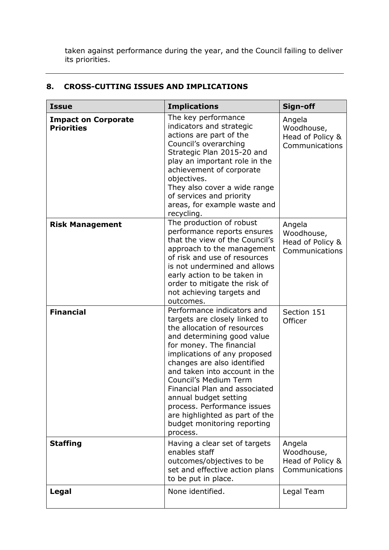taken against performance during the year, and the Council failing to deliver its priorities.

| <b>Issue</b>                                    | <b>Implications</b>                                                                                                                                                                                                                                                                                                                                                                                                                                 | Sign-off                                                   |
|-------------------------------------------------|-----------------------------------------------------------------------------------------------------------------------------------------------------------------------------------------------------------------------------------------------------------------------------------------------------------------------------------------------------------------------------------------------------------------------------------------------------|------------------------------------------------------------|
| <b>Impact on Corporate</b><br><b>Priorities</b> | The key performance<br>indicators and strategic<br>actions are part of the<br>Council's overarching<br>Strategic Plan 2015-20 and<br>play an important role in the<br>achievement of corporate<br>objectives.<br>They also cover a wide range<br>of services and priority<br>areas, for example waste and<br>recycling.                                                                                                                             | Angela<br>Woodhouse,<br>Head of Policy &<br>Communications |
| <b>Risk Management</b>                          | The production of robust<br>performance reports ensures<br>that the view of the Council's<br>approach to the management<br>of risk and use of resources<br>is not undermined and allows<br>early action to be taken in<br>order to mitigate the risk of<br>not achieving targets and<br>outcomes.                                                                                                                                                   | Angela<br>Woodhouse,<br>Head of Policy &<br>Communications |
| <b>Financial</b>                                | Performance indicators and<br>targets are closely linked to<br>the allocation of resources<br>and determining good value<br>for money. The financial<br>implications of any proposed<br>changes are also identified<br>and taken into account in the<br>Council's Medium Term<br>Financial Plan and associated<br>annual budget setting<br>process. Performance issues<br>are highlighted as part of the<br>budget monitoring reporting<br>process. | Section 151<br>Officer                                     |
| <b>Staffing</b>                                 | Having a clear set of targets<br>enables staff<br>outcomes/objectives to be<br>set and effective action plans<br>to be put in place.                                                                                                                                                                                                                                                                                                                | Angela<br>Woodhouse,<br>Head of Policy &<br>Communications |
| Legal                                           | None identified.                                                                                                                                                                                                                                                                                                                                                                                                                                    | Legal Team                                                 |

## **8. CROSS-CUTTING ISSUES AND IMPLICATIONS**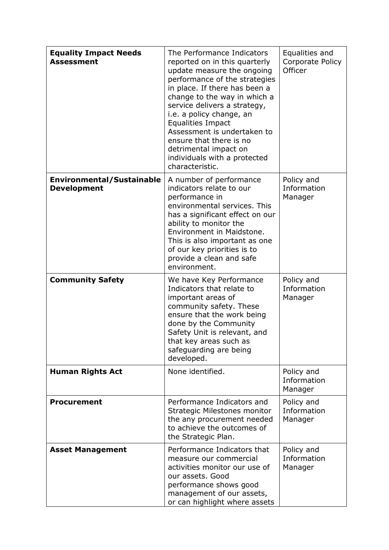| <b>Equality Impact Needs</b><br><b>Assessment</b>      | The Performance Indicators<br>reported on in this quarterly<br>update measure the ongoing<br>performance of the strategies<br>in place. If there has been a<br>change to the way in which a<br>service delivers a strategy,<br>i.e. a policy change, an<br><b>Equalities Impact</b><br>Assessment is undertaken to<br>ensure that there is no<br>detrimental impact on<br>individuals with a protected<br>characteristic. | Equalities and<br>Corporate Policy<br>Officer |
|--------------------------------------------------------|---------------------------------------------------------------------------------------------------------------------------------------------------------------------------------------------------------------------------------------------------------------------------------------------------------------------------------------------------------------------------------------------------------------------------|-----------------------------------------------|
| <b>Environmental/Sustainable</b><br><b>Development</b> | A number of performance<br>indicators relate to our<br>performance in<br>environmental services. This<br>has a significant effect on our<br>ability to monitor the<br>Environment in Maidstone.<br>This is also important as one<br>of our key priorities is to<br>provide a clean and safe<br>environment.                                                                                                               | Policy and<br>Information<br>Manager          |
| <b>Community Safety</b>                                | We have Key Performance<br>Indicators that relate to<br>important areas of<br>community safety. These<br>ensure that the work being<br>done by the Community<br>Safety Unit is relevant, and<br>that key areas such as<br>safeguarding are being<br>developed.                                                                                                                                                            | Policy and<br>Information<br>Manager          |
| <b>Human Rights Act</b>                                | None identified.                                                                                                                                                                                                                                                                                                                                                                                                          | Policy and<br>Information<br>Manager          |
| <b>Procurement</b>                                     | Performance Indicators and<br>Strategic Milestones monitor<br>the any procurement needed<br>to achieve the outcomes of<br>the Strategic Plan.                                                                                                                                                                                                                                                                             | Policy and<br>Information<br>Manager          |
| <b>Asset Management</b>                                | Performance Indicators that<br>measure our commercial<br>activities monitor our use of<br>our assets. Good<br>performance shows good<br>management of our assets,<br>or can highlight where assets                                                                                                                                                                                                                        | Policy and<br>Information<br>Manager          |